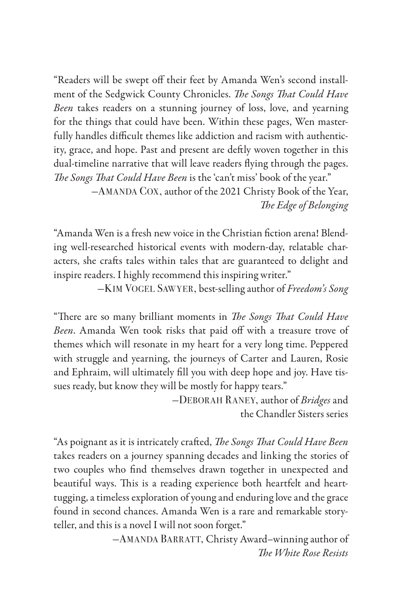"Readers will be swept off their feet by Amanda Wen's second installment of the Sedgwick County Chronicles. *The Songs That Could Have Been* takes readers on a stunning journey of loss, love, and yearning for the things that could have been. Within these pages, Wen masterfully handles difficult themes like addiction and racism with authenticity, grace, and hope. Past and present are deftly woven together in this dual-timeline narrative that will leave readers flying through the pages. *The Songs That Could Have Been* is the 'can't miss' book of the year."

—Amanda Cox, author of the 2021 Christy Book of the Year, *The Edge of Belonging*

"Amanda Wen is a fresh new voice in the Christian fiction arena! Blending well-researched historical events with modern-day, relatable characters, she crafts tales within tales that are guaranteed to delight and inspire readers. I highly recommend this inspiring writer."

—Kim Vogel Saw yer, best-selling author of *Freedom's Song*

"There are so many brilliant moments in *The Songs That Could Have Been*. Amanda Wen took risks that paid off with a treasure trove of themes which will resonate in my heart for a very long time. Peppered with struggle and yearning, the journeys of Carter and Lauren, Rosie and Ephraim, will ultimately fill you with deep hope and joy. Have tissues ready, but know they will be mostly for happy tears."

> —Deborah Raney, author of *Bridges* and the Chandler Sisters series

"As poignant as it is intricately crafted, *The Songs That Could Have Been* takes readers on a journey spanning decades and linking the stories of two couples who find themselves drawn together in unexpected and beautiful ways. This is a reading experience both heartfelt and hearttugging, a timeless exploration of young and enduring love and the grace found in second chances. Amanda Wen is a rare and remarkable storyteller, and this is a novel I will not soon forget."

> —Amanda Barratt, Christy Award–winning author of *The White Rose Resists*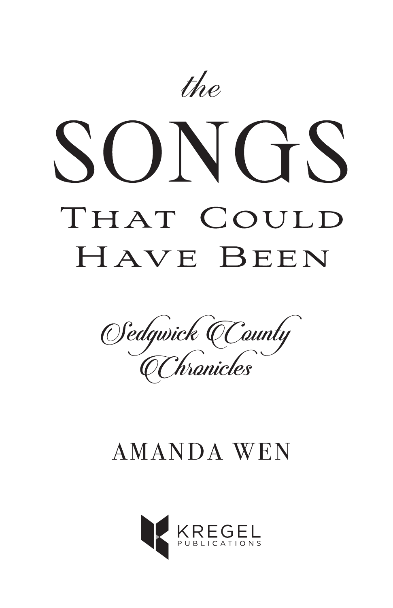

Sedgwick CCaunty

# AMANDA WEN

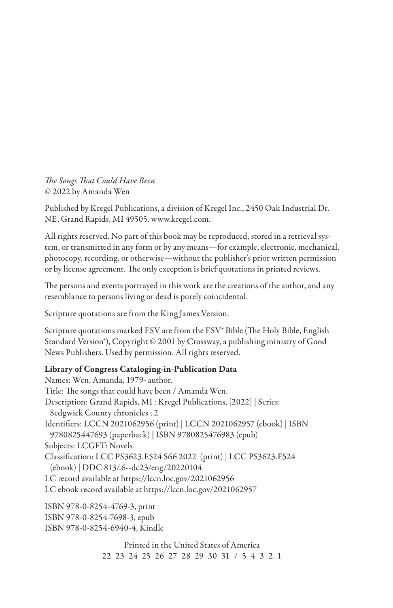#### *The Songs That Could Have Been* © 2022 by Amanda Wen

Published by Kregel Publications, a division of Kregel Inc., 2450 Oak Industrial Dr. NE, Grand Rapids, MI 49505. www.kregel.com.

All rights reserved. No part of this book may be reproduced, stored in a retrieval system, or transmitted in any form or by any means—for example, electronic, mechanical, photocopy, recording, or otherwise—without the publisher's prior written permission or by license agreement. The only exception is brief quotations in printed reviews.

The persons and events portrayed in this work are the creations of the author, and any resemblance to persons living or dead is purely coincidental.

Scripture quotations are from the King James Version.

Scripture quotations marked ESV are from the ESV® Bible (The Holy Bible, English Standard Version®), Copyright © 2001 by Crossway, a publishing ministry of Good News Publishers. Used by permission. All rights reserved.

### **Library of Congress Cataloging-in-Publication Data**

Names: Wen, Amanda, 1979- author. Title: The songs that could have been / Amanda Wen. Description: Grand Rapids, MI : Kregel Publications, [2022] | Series: Sedgwick County chronicles ; 2 Identifiers: LCCN 2021062956 (print) | LCCN 2021062957 (ebook) | ISBN 9780825447693 (paperback) | ISBN 9780825476983 (epub) Subjects: LCGFT: Novels. Classification: LCC PS3623.E524 S66 2022 (print) | LCC PS3623.E524 (ebook) | DDC 813/.6--dc23/eng/20220104 LC record available at https://lccn.loc.gov/2021062956 LC ebook record available at https://lccn.loc.gov/2021062957

ISBN 978-0-8254-4769-3, print ISBN 978-0-8254-7698-3, epub ISBN 978-0-8254-6940-4, Kindle

> Printed in the United States of America 22 23 24 25 26 27 28 29 30 31 / 5 4 3 2 1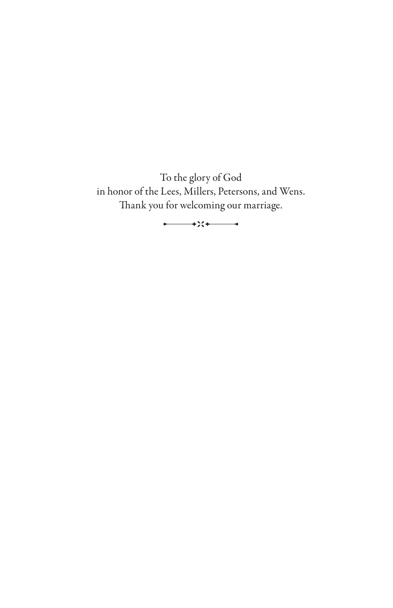To the glory of God in honor of the Lees, Millers, Petersons, and Wens. Thank you for welcoming our marriage. Lees, Millers, Peter<br>for welcoming ou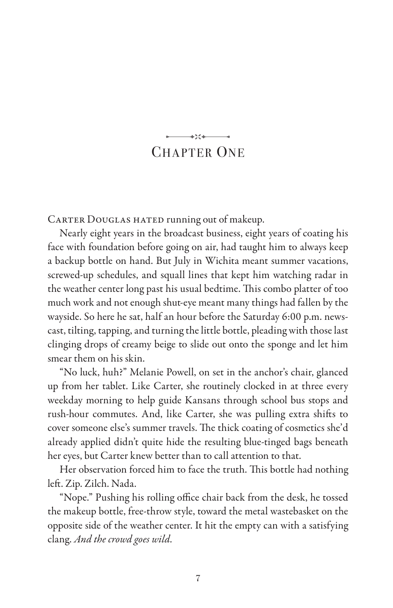# CHAPTER ONE  $\leftrightarrow$

CARTER DOUGLAS HATED running out of makeup.

Nearly eight years in the broadcast business, eight years of coating his face with foundation before going on air, had taught him to always keep a backup bottle on hand. But July in Wichita meant summer vacations, screwed-up schedules, and squall lines that kept him watching radar in the weather center long past his usual bedtime. This combo platter of too much work and not enough shut-eye meant many things had fallen by the wayside. So here he sat, half an hour before the Saturday 6:00 p.m. newscast, tilting, tapping, and turning the little bottle, pleading with those last clinging drops of creamy beige to slide out onto the sponge and let him smear them on his skin.

"No luck, huh?" Melanie Powell, on set in the anchor's chair, glanced up from her tablet. Like Carter, she routinely clocked in at three every weekday morning to help guide Kansans through school bus stops and rush-hour commutes. And, like Carter, she was pulling extra shifts to cover someone else's summer travels. The thick coating of cosmetics she'd already applied didn't quite hide the resulting blue-tinged bags beneath her eyes, but Carter knew better than to call attention to that.

Her observation forced him to face the truth. This bottle had nothing left. Zip. Zilch. Nada.

"Nope." Pushing his rolling office chair back from the desk, he tossed the makeup bottle, free-throw style, toward the metal wastebasket on the opposite side of the weather center. It hit the empty can with a satisfying clang. *And the crowd goes wild.*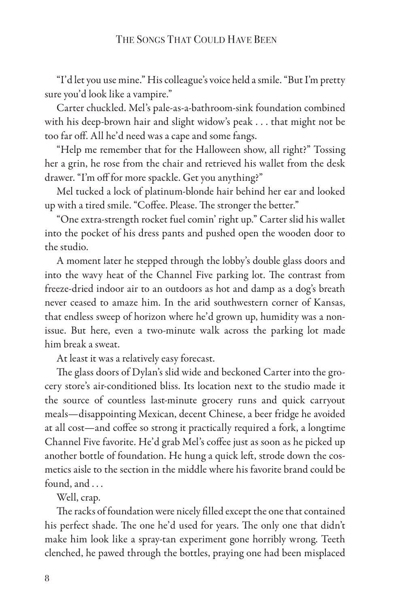#### The Songs That Could Have Been

"I'd let you use mine." His colleague's voice held a smile. "But I'm pretty sure you'd look like a vampire."

Carter chuckled. Mel's pale-as-a-bathroom-sink foundation combined with his deep-brown hair and slight widow's peak . . . that might not be too far off. All he'd need was a cape and some fangs.

"Help me remember that for the Halloween show, all right?" Tossing her a grin, he rose from the chair and retrieved his wallet from the desk drawer. "I'm off for more spackle. Get you anything?"

Mel tucked a lock of platinum-blonde hair behind her ear and looked up with a tired smile. "Coffee. Please. The stronger the better."

"One extra-strength rocket fuel comin' right up." Carter slid his wallet into the pocket of his dress pants and pushed open the wooden door to the studio.

A moment later he stepped through the lobby's double glass doors and into the wavy heat of the Channel Five parking lot. The contrast from freeze-dried indoor air to an outdoors as hot and damp as a dog's breath never ceased to amaze him. In the arid southwestern corner of Kansas, that endless sweep of horizon where he'd grown up, humidity was a nonissue. But here, even a two-minute walk across the parking lot made him break a sweat.

At least it was a relatively easy forecast.

The glass doors of Dylan's slid wide and beckoned Carter into the grocery store's air-conditioned bliss. Its location next to the studio made it the source of countless last-minute grocery runs and quick carryout meals—disappointing Mexican, decent Chinese, a beer fridge he avoided at all cost—and coffee so strong it practically required a fork, a longtime Channel Five favorite. He'd grab Mel's coffee just as soon as he picked up another bottle of foundation. He hung a quick left, strode down the cosmetics aisle to the section in the middle where his favorite brand could be found, and  $\ldots$ 

Well, crap.

The racks of foundation were nicely filled except the one that contained his perfect shade. The one he'd used for years. The only one that didn't make him look like a spray-tan experiment gone horribly wrong. Teeth clenched, he pawed through the bottles, praying one had been misplaced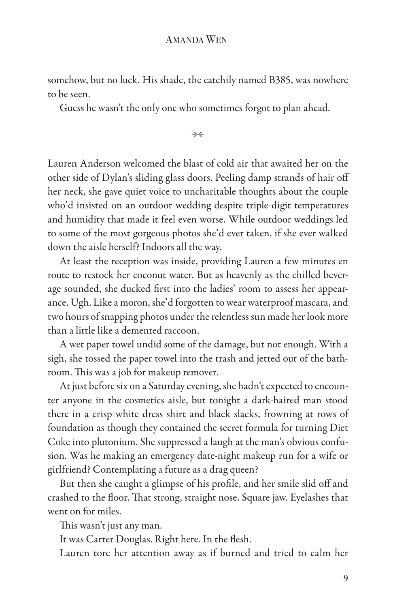somehow, but no luck. His shade, the catchily named B385, was nowhere to be seen.

Guess he wasn't the only one who sometimes forgot to plan ahead.

 $\rightarrow$ 

Lauren Anderson welcomed the blast of cold air that awaited her on the other side of Dylan's sliding glass doors. Peeling damp strands of hair off her neck, she gave quiet voice to uncharitable thoughts about the couple who'd insisted on an outdoor wedding despite triple-digit temperatures and humidity that made it feel even worse. While outdoor weddings led to some of the most gorgeous photos she'd ever taken, if she ever walked down the aisle herself? Indoors all the way.

At least the reception was inside, providing Lauren a few minutes en route to restock her coconut water. But as heavenly as the chilled beverage sounded, she ducked first into the ladies' room to assess her appearance. Ugh. Like a moron, she'd forgotten to wear waterproof mascara, and two hours of snapping photos under the relentless sun made her look more than a little like a demented raccoon.

A wet paper towel undid some of the damage, but not enough. With a sigh, she tossed the paper towel into the trash and jetted out of the bathroom. This was a job for makeup remover.

At just before six on a Saturday evening, she hadn't expected to encounter anyone in the cosmetics aisle, but tonight a dark-haired man stood there in a crisp white dress shirt and black slacks, frowning at rows of foundation as though they contained the secret formula for turning Diet Coke into plutonium. She suppressed a laugh at the man's obvious confusion. Was he making an emergency date-night makeup run for a wife or girlfriend? Contemplating a future as a drag queen?

But then she caught a glimpse of his profile, and her smile slid off and crashed to the floor. That strong, straight nose. Square jaw. Eyelashes that went on for miles.

This wasn't just any man.

It was Carter Douglas. Right here. In the flesh.

Lauren tore her attention away as if burned and tried to calm her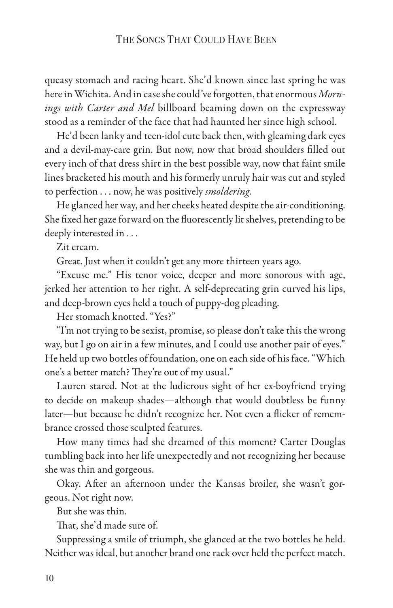queasy stomach and racing heart. She'd known since last spring he was here in Wichita. And in case she could've forgotten, that enormous *Mornings with Carter and Mel* billboard beaming down on the expressway stood as a reminder of the face that had haunted her since high school.

He'd been lanky and teen-idol cute back then, with gleaming dark eyes and a devil-may-care grin. But now, now that broad shoulders filled out every inch of that dress shirt in the best possible way, now that faint smile lines bracketed his mouth and his formerly unruly hair was cut and styled to perfection . . . now, he was positively *smoldering*.

He glanced her way, and her cheeks heated despite the air-conditioning. She fixed her gaze forward on the fluorescently lit shelves, pretending to be deeply interested in . . .

Zit cream.

Great. Just when it couldn't get any more thirteen years ago.

"Excuse me." His tenor voice, deeper and more sonorous with age, jerked her attention to her right. A self-deprecating grin curved his lips, and deep-brown eyes held a touch of puppy-dog pleading.

Her stomach knotted. "Yes?"

"I'm not trying to be sexist, promise, so please don't take this the wrong way, but I go on air in a few minutes, and I could use another pair of eyes." He held up two bottles of foundation, one on each side of his face. "Which one's a better match? They're out of my usual."

Lauren stared. Not at the ludicrous sight of her ex-boyfriend trying to decide on makeup shades—although that would doubtless be funny later—but because he didn't recognize her. Not even a flicker of remembrance crossed those sculpted features.

How many times had she dreamed of this moment? Carter Douglas tumbling back into her life unexpectedly and not recognizing her because she was thin and gorgeous.

Okay. After an afternoon under the Kansas broiler, she wasn't gorgeous. Not right now.

But she was thin.

That, she'd made sure of.

Suppressing a smile of triumph, she glanced at the two bottles he held. Neither was ideal, but another brand one rack over held the perfect match.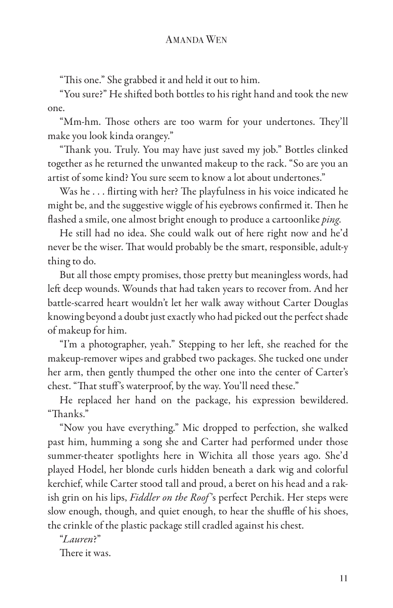"This one." She grabbed it and held it out to him.

"You sure?" He shifted both bottles to his right hand and took the new one.

"Mm-hm. Those others are too warm for your undertones. They'll make you look kinda orangey."

"Thank you. Truly. You may have just saved my job." Bottles clinked together as he returned the unwanted makeup to the rack. "So are you an artist of some kind? You sure seem to know a lot about undertones."

Was he . . . flirting with her? The playfulness in his voice indicated he might be, and the suggestive wiggle of his eyebrows confirmed it. Then he flashed a smile, one almost bright enough to produce a cartoonlike *ping*.

He still had no idea. She could walk out of here right now and he'd never be the wiser. That would probably be the smart, responsible, adult-y thing to do.

But all those empty promises, those pretty but meaningless words, had left deep wounds. Wounds that had taken years to recover from. And her battle-scarred heart wouldn't let her walk away without Carter Douglas knowing beyond a doubt just exactly who had picked out the perfect shade of makeup for him.

"I'm a photographer, yeah." Stepping to her left, she reached for the makeup-remover wipes and grabbed two packages. She tucked one under her arm, then gently thumped the other one into the center of Carter's chest. "That stuff's waterproof, by the way. You'll need these."

He replaced her hand on the package, his expression bewildered. "Thanks."

"Now you have everything." Mic dropped to perfection, she walked past him, humming a song she and Carter had performed under those summer-theater spotlights here in Wichita all those years ago. She'd played Hodel, her blonde curls hidden beneath a dark wig and colorful kerchief, while Carter stood tall and proud, a beret on his head and a rakish grin on his lips, *Fiddler on the Roof* 's perfect Perchik. Her steps were slow enough, though, and quiet enough, to hear the shuffle of his shoes, the crinkle of the plastic package still cradled against his chest.

"*Lauren*?"

There it was.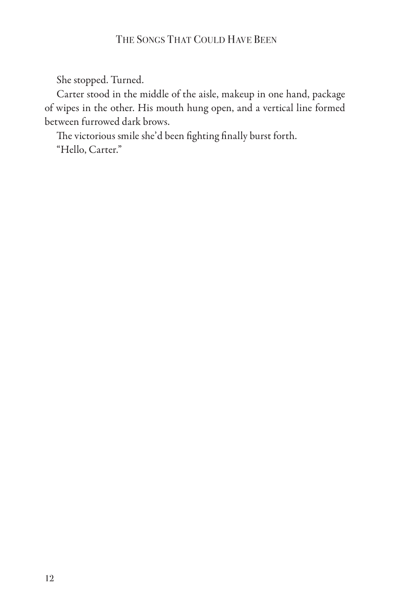She stopped. Turned.

Carter stood in the middle of the aisle, makeup in one hand, package of wipes in the other. His mouth hung open, and a vertical line formed between furrowed dark brows.

The victorious smile she'd been fighting finally burst forth. "Hello, Carter."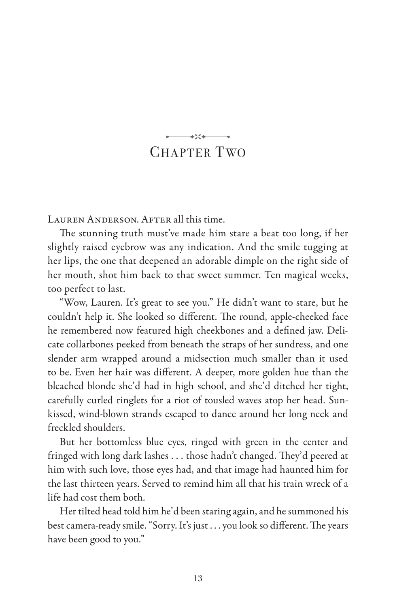# CHAPTER TWO  $\leftrightarrow$

LAUREN ANDERSON. AFTER all this time.

The stunning truth must've made him stare a beat too long, if her slightly raised eyebrow was any indication. And the smile tugging at her lips, the one that deepened an adorable dimple on the right side of her mouth, shot him back to that sweet summer. Ten magical weeks, too perfect to last.

"Wow, Lauren. It's great to see you." He didn't want to stare, but he couldn't help it. She looked so different. The round, apple-cheeked face he remembered now featured high cheekbones and a defined jaw. Delicate collarbones peeked from beneath the straps of her sundress, and one slender arm wrapped around a midsection much smaller than it used to be. Even her hair was different. A deeper, more golden hue than the bleached blonde she'd had in high school, and she'd ditched her tight, carefully curled ringlets for a riot of tousled waves atop her head. Sunkissed, wind-blown strands escaped to dance around her long neck and freckled shoulders.

But her bottomless blue eyes, ringed with green in the center and fringed with long dark lashes . . . those hadn't changed. They'd peered at him with such love, those eyes had, and that image had haunted him for the last thirteen years. Served to remind him all that his train wreck of a life had cost them both.

Her tilted head told him he'd been staring again, and he summoned his best camera-ready smile. "Sorry. It's just . . . you look so different. The years have been good to you."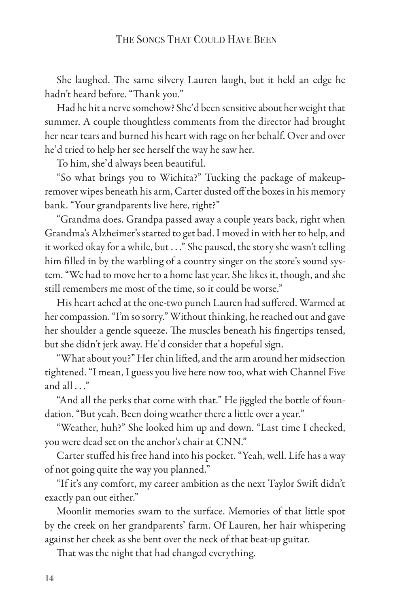#### The Songs That Could Have Been

She laughed. The same silvery Lauren laugh, but it held an edge he hadn't heard before. "Thank you."

Had he hit a nerve somehow? She'd been sensitive about her weight that summer. A couple thoughtless comments from the director had brought her near tears and burned his heart with rage on her behalf. Over and over he'd tried to help her see herself the way he saw her.

To him, she'd always been beautiful.

"So what brings you to Wichita?" Tucking the package of makeupremover wipes beneath his arm, Carter dusted off the boxes in his memory bank. "Your grandparents live here, right?"

"Grandma does. Grandpa passed away a couple years back, right when Grandma's Alzheimer's started to get bad. I moved in with her to help, and it worked okay for a while, but . . ." She paused, the story she wasn't telling him filled in by the warbling of a country singer on the store's sound system. "We had to move her to a home last year. She likes it, though, and she still remembers me most of the time, so it could be worse."

His heart ached at the one-two punch Lauren had suffered. Warmed at her compassion. "I'm so sorry." Without thinking, he reached out and gave her shoulder a gentle squeeze. The muscles beneath his fingertips tensed, but she didn't jerk away. He'd consider that a hopeful sign.

"What about you?" Her chin lifted, and the arm around her midsection tightened. "I mean, I guess you live here now too, what with Channel Five and all  $\ldots$ "

"And all the perks that come with that." He jiggled the bottle of foundation. "But yeah. Been doing weather there a little over a year."

"Weather, huh?" She looked him up and down. "Last time I checked, you were dead set on the anchor's chair at CNN."

Carter stuffed his free hand into his pocket. "Yeah, well. Life has a way of not going quite the way you planned."

"If it's any comfort, my career ambition as the next Taylor Swift didn't exactly pan out either."

Moonlit memories swam to the surface. Memories of that little spot by the creek on her grandparents' farm. Of Lauren, her hair whispering against her cheek as she bent over the neck of that beat-up guitar.

That was the night that had changed everything.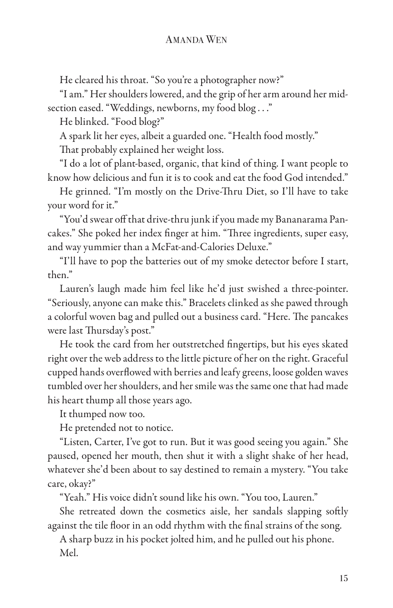He cleared his throat. "So you're a photographer now?"

"I am." Her shoulders lowered, and the grip of her arm around her midsection eased. "Weddings, newborns, my food blog . . ."

He blinked. "Food blog?"

A spark lit her eyes, albeit a guarded one. "Health food mostly."

That probably explained her weight loss.

"I do a lot of plant-based, organic, that kind of thing. I want people to know how delicious and fun it is to cook and eat the food God intended."

He grinned. "I'm mostly on the Drive-Thru Diet, so I'll have to take your word for it."

"You'd swear off that drive-thru junk if you made my Bananarama Pancakes." She poked her index finger at him. "Three ingredients, super easy, and way yummier than a McFat-and-Calories Deluxe."

"I'll have to pop the batteries out of my smoke detector before I start, then."

Lauren's laugh made him feel like he'd just swished a three-pointer. "Seriously, anyone can make this." Bracelets clinked as she pawed through a colorful woven bag and pulled out a business card. "Here. The pancakes were last Thursday's post."

He took the card from her outstretched fingertips, but his eyes skated right over the web address to the little picture of her on the right. Graceful cupped hands overflowed with berries and leafy greens, loose golden waves tumbled over her shoulders, and her smile was the same one that had made his heart thump all those years ago.

It thumped now too.

He pretended not to notice.

"Listen, Carter, I've got to run. But it was good seeing you again." She paused, opened her mouth, then shut it with a slight shake of her head, whatever she'd been about to say destined to remain a mystery. "You take care, okay?"

"Yeah." His voice didn't sound like his own. "You too, Lauren."

She retreated down the cosmetics aisle, her sandals slapping softly against the tile floor in an odd rhythm with the final strains of the song.

A sharp buzz in his pocket jolted him, and he pulled out his phone. Mel.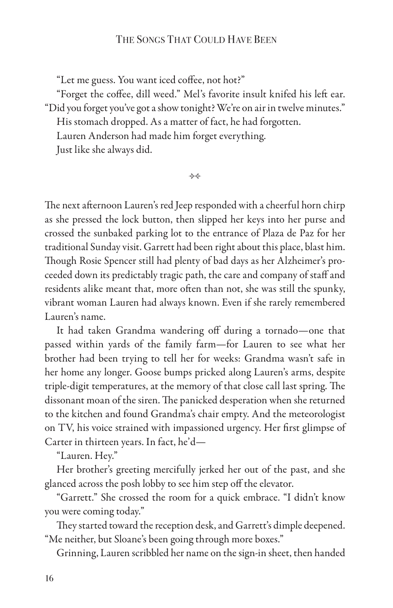#### The Songs That Could Have Been

"Let me guess. You want iced coffee, not hot?"

"Forget the coffee, dill weed." Mel's favorite insult knifed his left ear. "Did you forget you've got a show tonight? We're on air in twelve minutes." His stomach dropped. As a matter of fact, he had forgotten. Lauren Anderson had made him forget everything. Just like she always did.

 $\rightarrow$ 

The next afternoon Lauren's red Jeep responded with a cheerful horn chirp as she pressed the lock button, then slipped her keys into her purse and crossed the sunbaked parking lot to the entrance of Plaza de Paz for her traditional Sunday visit. Garrett had been right about this place, blast him. Though Rosie Spencer still had plenty of bad days as her Alzheimer's proceeded down its predictably tragic path, the care and company of staff and residents alike meant that, more often than not, she was still the spunky, vibrant woman Lauren had always known. Even if she rarely remembered Lauren's name.

It had taken Grandma wandering off during a tornado—one that passed within yards of the family farm—for Lauren to see what her brother had been trying to tell her for weeks: Grandma wasn't safe in her home any longer. Goose bumps pricked along Lauren's arms, despite triple-digit temperatures, at the memory of that close call last spring. The dissonant moan of the siren. The panicked desperation when she returned to the kitchen and found Grandma's chair empty. And the meteorologist on TV, his voice strained with impassioned urgency. Her first glimpse of Carter in thirteen years. In fact, he'd—

"Lauren. Hey."

Her brother's greeting mercifully jerked her out of the past, and she glanced across the posh lobby to see him step off the elevator.

"Garrett." She crossed the room for a quick embrace. "I didn't know you were coming today."

They started toward the reception desk, and Garrett's dimple deepened. "Me neither, but Sloane's been going through more boxes."

Grinning, Lauren scribbled her name on the sign-in sheet, then handed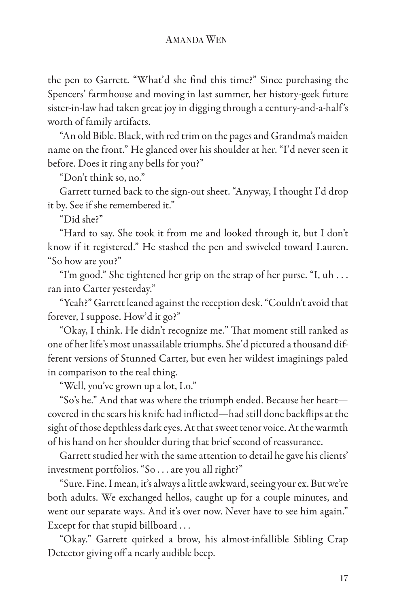the pen to Garrett. "What'd she find this time?" Since purchasing the Spencers' farmhouse and moving in last summer, her history-geek future sister-in-law had taken great joy in digging through a century-and-a-half's worth of family artifacts.

"An old Bible. Black, with red trim on the pages and Grandma's maiden name on the front." He glanced over his shoulder at her. "I'd never seen it before. Does it ring any bells for you?"

"Don't think so, no."

Garrett turned back to the sign-out sheet. "Anyway, I thought I'd drop it by. See if she remembered it."

"Did she?"

"Hard to say. She took it from me and looked through it, but I don't know if it registered." He stashed the pen and swiveled toward Lauren. "So how are you?"

"I'm good." She tightened her grip on the strap of her purse. "I, uh . . . ran into Carter yesterday."

"Yeah?" Garrett leaned against the reception desk. "Couldn't avoid that forever, I suppose. How'd it go?"

"Okay, I think. He didn't recognize me." That moment still ranked as one of her life's most unassailable triumphs. She'd pictured a thousand different versions of Stunned Carter, but even her wildest imaginings paled in comparison to the real thing.

"Well, you've grown up a lot, Lo."

"So's he." And that was where the triumph ended. Because her heart covered in the scars his knife had inflicted—had still done backflips at the sight of those depthless dark eyes. At that sweet tenor voice. At the warmth of his hand on her shoulder during that brief second of reassurance.

Garrett studied her with the same attention to detail he gave his clients' investment portfolios. "So . . . are you all right?"

"Sure. Fine. I mean, it's always a little awkward, seeing your ex. But we're both adults. We exchanged hellos, caught up for a couple minutes, and went our separate ways. And it's over now. Never have to see him again." Except for that stupid billboard . . .

"Okay." Garrett quirked a brow, his almost-infallible Sibling Crap Detector giving off a nearly audible beep.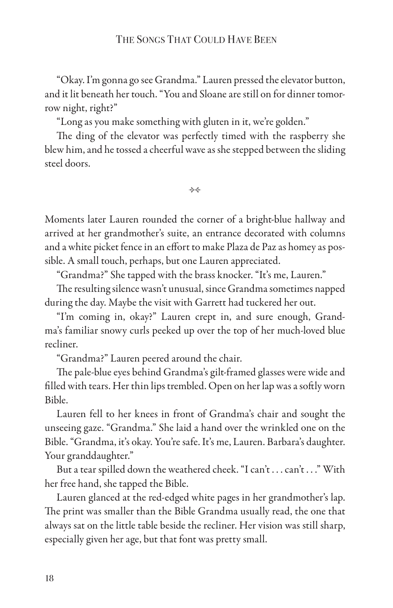"Okay. I'm gonna go see Grandma." Lauren pressed the elevator button, and it lit beneath her touch. "You and Sloane are still on for dinner tomorrow night, right?"

"Long as you make something with gluten in it, we're golden."

The ding of the elevator was perfectly timed with the raspberry she blew him, and he tossed a cheerful wave as she stepped between the sliding steel doors.

 $\rightarrow$ 

Moments later Lauren rounded the corner of a bright-blue hallway and arrived at her grandmother's suite, an entrance decorated with columns and a white picket fence in an effort to make Plaza de Paz as homey as possible. A small touch, perhaps, but one Lauren appreciated.

"Grandma?" She tapped with the brass knocker. "It's me, Lauren."

The resulting silence wasn't unusual, since Grandma sometimes napped during the day. Maybe the visit with Garrett had tuckered her out.

"I'm coming in, okay?" Lauren crept in, and sure enough, Grandma's familiar snowy curls peeked up over the top of her much-loved blue recliner.

"Grandma?" Lauren peered around the chair.

The pale-blue eyes behind Grandma's gilt-framed glasses were wide and filled with tears. Her thin lips trembled. Open on her lap was a softly worn Bible.

Lauren fell to her knees in front of Grandma's chair and sought the unseeing gaze. "Grandma." She laid a hand over the wrinkled one on the Bible. "Grandma, it's okay. You're safe. It's me, Lauren. Barbara's daughter. Your granddaughter."

But a tear spilled down the weathered cheek. "I can't . . . can't . . ." With her free hand, she tapped the Bible.

Lauren glanced at the red-edged white pages in her grandmother's lap. The print was smaller than the Bible Grandma usually read, the one that always sat on the little table beside the recliner. Her vision was still sharp, especially given her age, but that font was pretty small.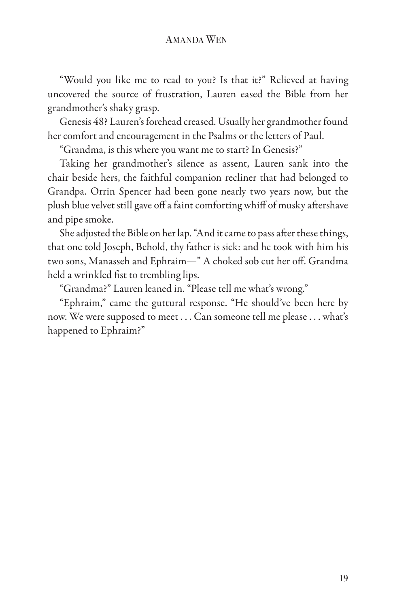"Would you like me to read to you? Is that it?" Relieved at having uncovered the source of frustration, Lauren eased the Bible from her grandmother's shaky grasp.

Genesis 48? Lauren's forehead creased. Usually her grandmother found her comfort and encouragement in the Psalms or the letters of Paul.

"Grandma, is this where you want me to start? In Genesis?"

Taking her grandmother's silence as assent, Lauren sank into the chair beside hers, the faithful companion recliner that had belonged to Grandpa. Orrin Spencer had been gone nearly two years now, but the plush blue velvet still gave off a faint comforting whiff of musky aftershave and pipe smoke.

She adjusted the Bible on her lap. "And it came to pass after these things, that one told Joseph, Behold, thy father is sick: and he took with him his two sons, Manasseh and Ephraim—" A choked sob cut her off. Grandma held a wrinkled fist to trembling lips.

"Grandma?" Lauren leaned in. "Please tell me what's wrong."

"Ephraim," came the guttural response. "He should've been here by now. We were supposed to meet . . . Can someone tell me please . . . what's happened to Ephraim?"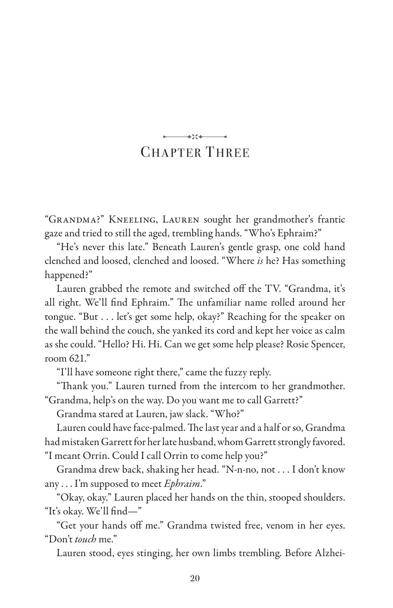# CHAPTER THREE  $\leftrightarrow$

"Grandma?" Kneeling, Lauren sought her grandmother's frantic gaze and tried to still the aged, trembling hands. "Who's Ephraim?"

"He's never this late." Beneath Lauren's gentle grasp, one cold hand clenched and loosed, clenched and loosed. "Where *is* he? Has something happened?"

Lauren grabbed the remote and switched off the TV. "Grandma, it's all right. We'll find Ephraim." The unfamiliar name rolled around her tongue. "But . . . let's get some help, okay?" Reaching for the speaker on the wall behind the couch, she yanked its cord and kept her voice as calm as she could. "Hello? Hi. Hi. Can we get some help please? Rosie Spencer, room 621."

"I'll have someone right there," came the fuzzy reply.

"Thank you." Lauren turned from the intercom to her grandmother. "Grandma, help's on the way. Do you want me to call Garrett?"

Grandma stared at Lauren, jaw slack. "Who?"

Lauren could have face-palmed. The last year and a half or so, Grandma had mistaken Garrett for her late husband, whom Garrett strongly favored. "I meant Orrin. Could I call Orrin to come help you?"

Grandma drew back, shaking her head. "N-n-no, not . . . I don't know any . . . I'm supposed to meet *Ephraim*."

"Okay, okay." Lauren placed her hands on the thin, stooped shoulders. "It's okay. We'll find—"

"Get your hands off me." Grandma twisted free, venom in her eyes. "Don't *touch* me."

Lauren stood, eyes stinging, her own limbs trembling. Before Alzhei-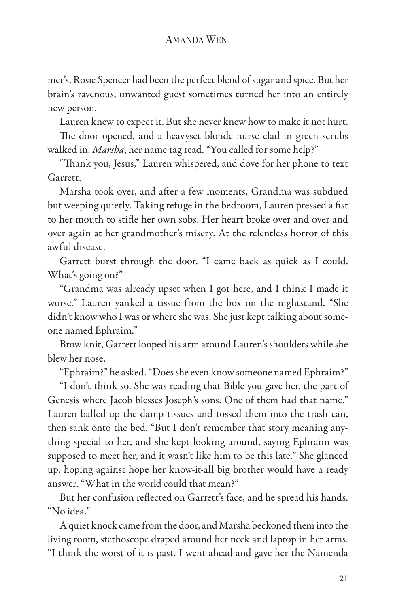mer's, Rosie Spencer had been the perfect blend of sugar and spice. But her brain's ravenous, unwanted guest sometimes turned her into an entirely new person.

Lauren knew to expect it. But she never knew how to make it not hurt.

The door opened, and a heavyset blonde nurse clad in green scrubs walked in. *Marsha*, her name tag read. "You called for some help?"

"Thank you, Jesus," Lauren whispered, and dove for her phone to text Garrett.

Marsha took over, and after a few moments, Grandma was subdued but weeping quietly. Taking refuge in the bedroom, Lauren pressed a fist to her mouth to stifle her own sobs. Her heart broke over and over and over again at her grandmother's misery. At the relentless horror of this awful disease.

Garrett burst through the door. "I came back as quick as I could. What's going on?"

"Grandma was already upset when I got here, and I think I made it worse." Lauren yanked a tissue from the box on the nightstand. "She didn't know who I was or where she was. She just kept talking about someone named Ephraim."

Brow knit, Garrett looped his arm around Lauren's shoulders while she blew her nose.

"Ephraim?" he asked. "Does she even know someone named Ephraim?"

"I don't think so. She was reading that Bible you gave her, the part of Genesis where Jacob blesses Joseph's sons. One of them had that name." Lauren balled up the damp tissues and tossed them into the trash can, then sank onto the bed. "But I don't remember that story meaning anything special to her, and she kept looking around, saying Ephraim was supposed to meet her, and it wasn't like him to be this late." She glanced up, hoping against hope her know-it-all big brother would have a ready answer. "What in the world could that mean?"

But her confusion reflected on Garrett's face, and he spread his hands. "No idea."

A quiet knock came from the door, and Marsha beckoned them into the living room, stethoscope draped around her neck and laptop in her arms. "I think the worst of it is past. I went ahead and gave her the Namenda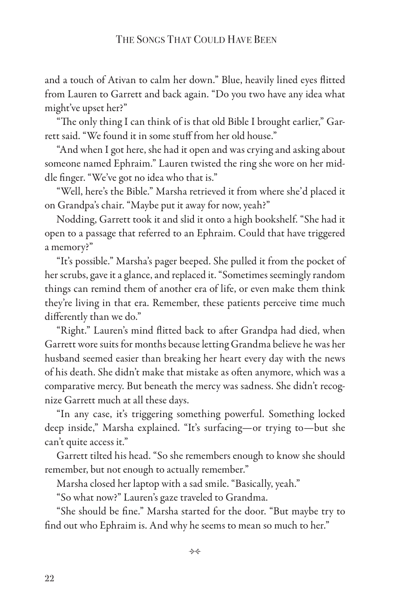and a touch of Ativan to calm her down." Blue, heavily lined eyes flitted from Lauren to Garrett and back again. "Do you two have any idea what might've upset her?"

"The only thing I can think of is that old Bible I brought earlier," Garrett said. "We found it in some stuff from her old house."

"And when I got here, she had it open and was crying and asking about someone named Ephraim." Lauren twisted the ring she wore on her middle finger. "We've got no idea who that is."

"Well, here's the Bible." Marsha retrieved it from where she'd placed it on Grandpa's chair. "Maybe put it away for now, yeah?"

Nodding, Garrett took it and slid it onto a high bookshelf. "She had it open to a passage that referred to an Ephraim. Could that have triggered a memory?"

"It's possible." Marsha's pager beeped. She pulled it from the pocket of her scrubs, gave it a glance, and replaced it. "Sometimes seemingly random things can remind them of another era of life, or even make them think they're living in that era. Remember, these patients perceive time much differently than we do."

"Right." Lauren's mind flitted back to after Grandpa had died, when Garrett wore suits for months because letting Grandma believe he was her husband seemed easier than breaking her heart every day with the news of his death. She didn't make that mistake as often anymore, which was a comparative mercy. But beneath the mercy was sadness. She didn't recognize Garrett much at all these days.

"In any case, it's triggering something powerful. Something locked deep inside," Marsha explained. "It's surfacing—or trying to—but she can't quite access it."

Garrett tilted his head. "So she remembers enough to know she should remember, but not enough to actually remember."

Marsha closed her laptop with a sad smile. "Basically, yeah."

"So what now?" Lauren's gaze traveled to Grandma.

"She should be fine." Marsha started for the door. "But maybe try to find out who Ephraim is. And why he seems to mean so much to her."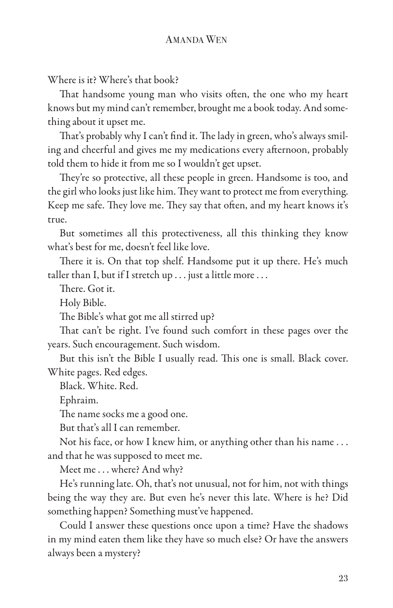Where is it? Where's that book?

That handsome young man who visits often, the one who my heart knows but my mind can't remember, brought me a book today. And something about it upset me.

That's probably why I can't find it. The lady in green, who's always smiling and cheerful and gives me my medications every afternoon, probably told them to hide it from me so I wouldn't get upset.

They're so protective, all these people in green. Handsome is too, and the girl who looks just like him. They want to protect me from everything. Keep me safe. They love me. They say that often, and my heart knows it's true.

But sometimes all this protectiveness, all this thinking they know what's best for me, doesn't feel like love.

There it is. On that top shelf. Handsome put it up there. He's much taller than I, but if I stretch up . . . just a little more . . .

There. Got it.

Holy Bible.

The Bible's what got me all stirred up?

That can't be right. I've found such comfort in these pages over the years. Such encouragement. Such wisdom.

But this isn't the Bible I usually read. This one is small. Black cover. White pages. Red edges.

Black. White. Red.

Ephraim.

The name socks me a good one.

But that's all I can remember.

Not his face, or how I knew him, or anything other than his name . . . and that he was supposed to meet me.

Meet me . . . where? And why?

He's running late. Oh, that's not unusual, not for him, not with things being the way they are. But even he's never this late. Where is he? Did something happen? Something must've happened.

Could I answer these questions once upon a time? Have the shadows in my mind eaten them like they have so much else? Or have the answers always been a mystery?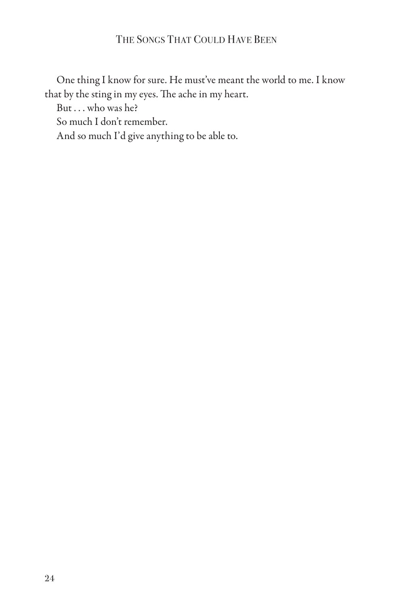# The Songs That Could Have Been

One thing I know for sure. He must've meant the world to me. I know that by the sting in my eyes. The ache in my heart.

But . . . who was he?

So much I don't remember.

And so much I'd give anything to be able to.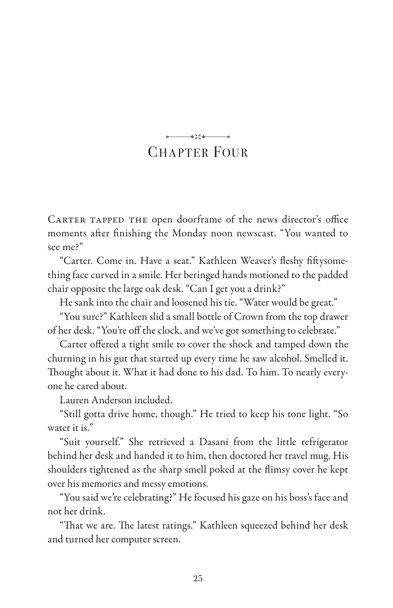# CHAPTER FOUR  $\leftrightarrow$

CARTER TAPPED THE open doorframe of the news director's office moments after finishing the Monday noon newscast. "You wanted to see me?"

"Carter. Come in. Have a seat." Kathleen Weaver's fleshy fiftysomething face curved in a smile. Her beringed hands motioned to the padded chair opposite the large oak desk. "Can I get you a drink?"

He sank into the chair and loosened his tie. "Water would be great."

"You sure?" Kathleen slid a small bottle of Crown from the top drawer of her desk. "You're off the clock, and we've got something to celebrate."

Carter offered a tight smile to cover the shock and tamped down the churning in his gut that started up every time he saw alcohol. Smelled it. Thought about it. What it had done to his dad. To him. To nearly everyone he cared about.

Lauren Anderson included.

"Still gotta drive home, though." He tried to keep his tone light. "So water it is."

"Suit yourself." She retrieved a Dasani from the little refrigerator behind her desk and handed it to him, then doctored her travel mug. His shoulders tightened as the sharp smell poked at the flimsy cover he kept over his memories and messy emotions.

"You said we're celebrating?" He focused his gaze on his boss's face and not her drink.

"That we are. The latest ratings." Kathleen squeezed behind her desk and turned her computer screen.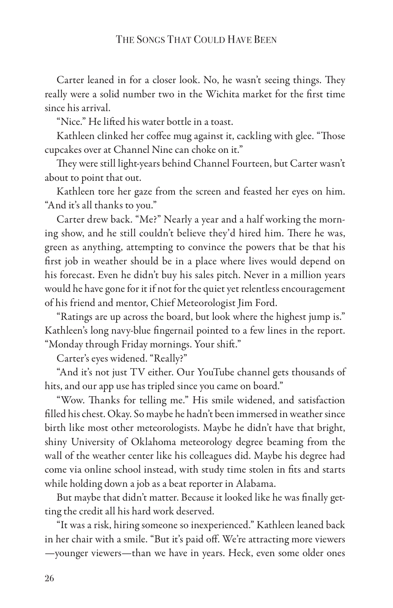Carter leaned in for a closer look. No, he wasn't seeing things. They really were a solid number two in the Wichita market for the first time since his arrival.

"Nice." He lifted his water bottle in a toast.

Kathleen clinked her coffee mug against it, cackling with glee. "Those cupcakes over at Channel Nine can choke on it."

They were still light-years behind Channel Fourteen, but Carter wasn't about to point that out.

Kathleen tore her gaze from the screen and feasted her eyes on him. "And it's all thanks to you."

Carter drew back. "Me?" Nearly a year and a half working the morning show, and he still couldn't believe they'd hired him. There he was, green as anything, attempting to convince the powers that be that his first job in weather should be in a place where lives would depend on his forecast. Even he didn't buy his sales pitch. Never in a million years would he have gone for it if not for the quiet yet relentless encouragement of his friend and mentor, Chief Meteorologist Jim Ford.

"Ratings are up across the board, but look where the highest jump is." Kathleen's long navy-blue fingernail pointed to a few lines in the report. "Monday through Friday mornings. Your shift."

Carter's eyes widened. "Really?"

"And it's not just TV either. Our YouTube channel gets thousands of hits, and our app use has tripled since you came on board."

"Wow. Thanks for telling me." His smile widened, and satisfaction filled his chest. Okay. So maybe he hadn't been immersed in weather since birth like most other meteorologists. Maybe he didn't have that bright, shiny University of Oklahoma meteorology degree beaming from the wall of the weather center like his colleagues did. Maybe his degree had come via online school instead, with study time stolen in fits and starts while holding down a job as a beat reporter in Alabama.

But maybe that didn't matter. Because it looked like he was finally getting the credit all his hard work deserved.

"It was a risk, hiring someone so inexperienced." Kathleen leaned back in her chair with a smile. "But it's paid off. We're attracting more viewers —younger viewers—than we have in years. Heck, even some older ones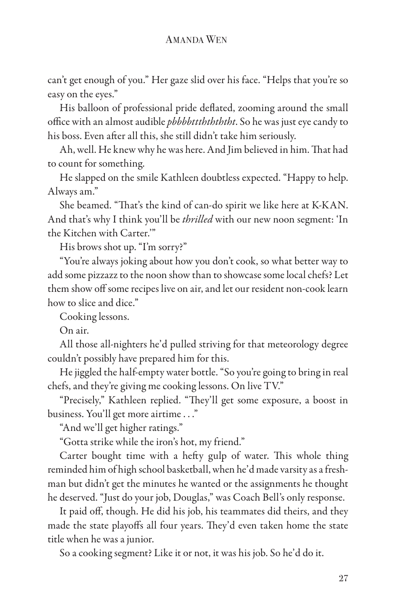can't get enough of you." Her gaze slid over his face. "Helps that you're so easy on the eyes."

His balloon of professional pride deflated, zooming around the small office with an almost audible *pbbbbttththththt*. So he was just eye candy to his boss. Even after all this, she still didn't take him seriously.

Ah, well. He knew why he was here. And Jim believed in him. That had to count for something.

He slapped on the smile Kathleen doubtless expected. "Happy to help. Always am."

She beamed. "That's the kind of can-do spirit we like here at K-KAN. And that's why I think you'll be *thrilled* with our new noon segment: 'In the Kitchen with Carter.'"

His brows shot up. "I'm sorry?"

"You're always joking about how you don't cook, so what better way to add some pizzazz to the noon show than to showcase some local chefs? Let them show off some recipes live on air, and let our resident non-cook learn how to slice and dice."

Cooking lessons.

On air.

All those all-nighters he'd pulled striving for that meteorology degree couldn't possibly have prepared him for this.

He jiggled the half-empty water bottle. "So you're going to bring in real chefs, and they're giving me cooking lessons. On live TV."

"Precisely," Kathleen replied. "They'll get some exposure, a boost in business. You'll get more airtime . . ."

"And we'll get higher ratings."

"Gotta strike while the iron's hot, my friend."

Carter bought time with a hefty gulp of water. This whole thing reminded him of high school basketball, when he'd made varsity as a freshman but didn't get the minutes he wanted or the assignments he thought he deserved. "Just do your job, Douglas," was Coach Bell's only response.

It paid off, though. He did his job, his teammates did theirs, and they made the state playoffs all four years. They'd even taken home the state title when he was a junior.

So a cooking segment? Like it or not, it was his job. So he'd do it.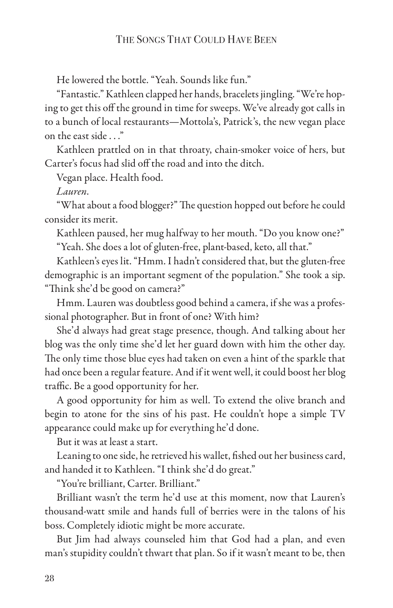He lowered the bottle. "Yeah. Sounds like fun."

"Fantastic." Kathleen clapped her hands, bracelets jingling. "We're hoping to get this off the ground in time for sweeps. We've already got calls in to a bunch of local restaurants—Mottola's, Patrick's, the new vegan place on the east side . . ."

Kathleen prattled on in that throaty, chain-smoker voice of hers, but Carter's focus had slid off the road and into the ditch.

Vegan place. Health food.

*Lauren.*

"What about a food blogger?" The question hopped out before he could consider its merit.

Kathleen paused, her mug halfway to her mouth. "Do you know one?"

"Yeah. She does a lot of gluten-free, plant-based, keto, all that."

Kathleen's eyes lit. "Hmm. I hadn't considered that, but the gluten-free demographic is an important segment of the population." She took a sip. "Think she'd be good on camera?"

Hmm. Lauren was doubtless good behind a camera, if she was a professional photographer. But in front of one? With him?

She'd always had great stage presence, though. And talking about her blog was the only time she'd let her guard down with him the other day. The only time those blue eyes had taken on even a hint of the sparkle that had once been a regular feature. And if it went well, it could boost her blog traffic. Be a good opportunity for her.

A good opportunity for him as well. To extend the olive branch and begin to atone for the sins of his past. He couldn't hope a simple TV appearance could make up for everything he'd done.

But it was at least a start.

Leaning to one side, he retrieved his wallet, fished out her business card, and handed it to Kathleen. "I think she'd do great."

"You're brilliant, Carter. Brilliant."

Brilliant wasn't the term he'd use at this moment, now that Lauren's thousand-watt smile and hands full of berries were in the talons of his boss. Completely idiotic might be more accurate.

But Jim had always counseled him that God had a plan, and even man's stupidity couldn't thwart that plan. So if it wasn't meant to be, then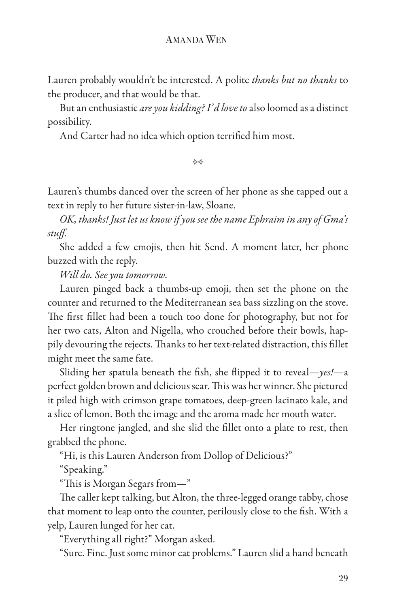Lauren probably wouldn't be interested. A polite *thanks but no thanks* to the producer, and that would be that.

But an enthusiastic *are you kidding? I' d love to* also loomed as a distinct possibility.

And Carter had no idea which option terrified him most.

 $\rightarrow$ 

Lauren's thumbs danced over the screen of her phone as she tapped out a text in reply to her future sister-in-law, Sloane.

*OK, thanks! Just let us know if you see the name Ephraim in any of Gma's stuff.*

She added a few emojis, then hit Send. A moment later, her phone buzzed with the reply.

*Will do. See you tomorrow.*

Lauren pinged back a thumbs-up emoji, then set the phone on the counter and returned to the Mediterranean sea bass sizzling on the stove. The first fillet had been a touch too done for photography, but not for her two cats, Alton and Nigella, who crouched before their bowls, happily devouring the rejects. Thanks to her text-related distraction, this fillet might meet the same fate.

Sliding her spatula beneath the fish, she flipped it to reveal—*yes!*—a perfect golden brown and delicious sear. This was her winner. She pictured it piled high with crimson grape tomatoes, deep-green lacinato kale, and a slice of lemon. Both the image and the aroma made her mouth water.

Her ringtone jangled, and she slid the fillet onto a plate to rest, then grabbed the phone.

"Hi, is this Lauren Anderson from Dollop of Delicious?"

"Speaking."

"This is Morgan Segars from—"

The caller kept talking, but Alton, the three-legged orange tabby, chose that moment to leap onto the counter, perilously close to the fish. With a yelp, Lauren lunged for her cat.

"Everything all right?" Morgan asked.

"Sure. Fine. Just some minor cat problems." Lauren slid a hand beneath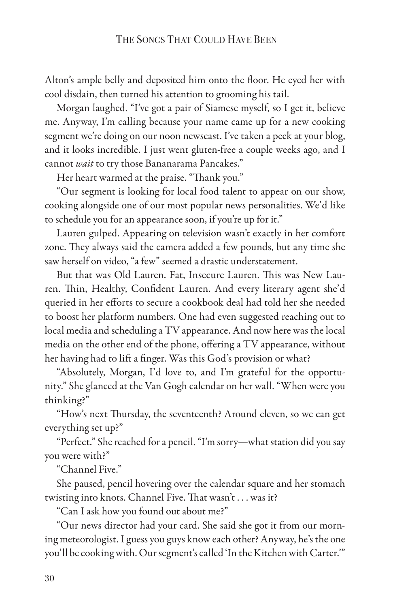### The Songs That Could Have Been

Alton's ample belly and deposited him onto the floor. He eyed her with cool disdain, then turned his attention to grooming his tail.

Morgan laughed. "I've got a pair of Siamese myself, so I get it, believe me. Anyway, I'm calling because your name came up for a new cooking segment we're doing on our noon newscast. I've taken a peek at your blog, and it looks incredible. I just went gluten-free a couple weeks ago, and I cannot *wait* to try those Bananarama Pancakes."

Her heart warmed at the praise. "Thank you."

"Our segment is looking for local food talent to appear on our show, cooking alongside one of our most popular news personalities. We'd like to schedule you for an appearance soon, if you're up for it."

Lauren gulped. Appearing on television wasn't exactly in her comfort zone. They always said the camera added a few pounds, but any time she saw herself on video, "a few" seemed a drastic understatement.

But that was Old Lauren. Fat, Insecure Lauren. This was New Lauren. Thin, Healthy, Confident Lauren. And every literary agent she'd queried in her efforts to secure a cookbook deal had told her she needed to boost her platform numbers. One had even suggested reaching out to local media and scheduling a TV appearance. And now here was the local media on the other end of the phone, offering a TV appearance, without her having had to lift a finger. Was this God's provision or what?

"Absolutely, Morgan, I'd love to, and I'm grateful for the opportunity." She glanced at the Van Gogh calendar on her wall. "When were you thinking?"

"How's next Thursday, the seventeenth? Around eleven, so we can get everything set up?"

"Perfect." She reached for a pencil. "I'm sorry—what station did you say you were with?"

"Channel Five."

She paused, pencil hovering over the calendar square and her stomach twisting into knots. Channel Five. That wasn't . . . was it?

"Can I ask how you found out about me?"

"Our news director had your card. She said she got it from our morning meteorologist. I guess you guys know each other? Anyway, he's the one you'll be cooking with. Our segment's called 'In the Kitchen with Carter.'"